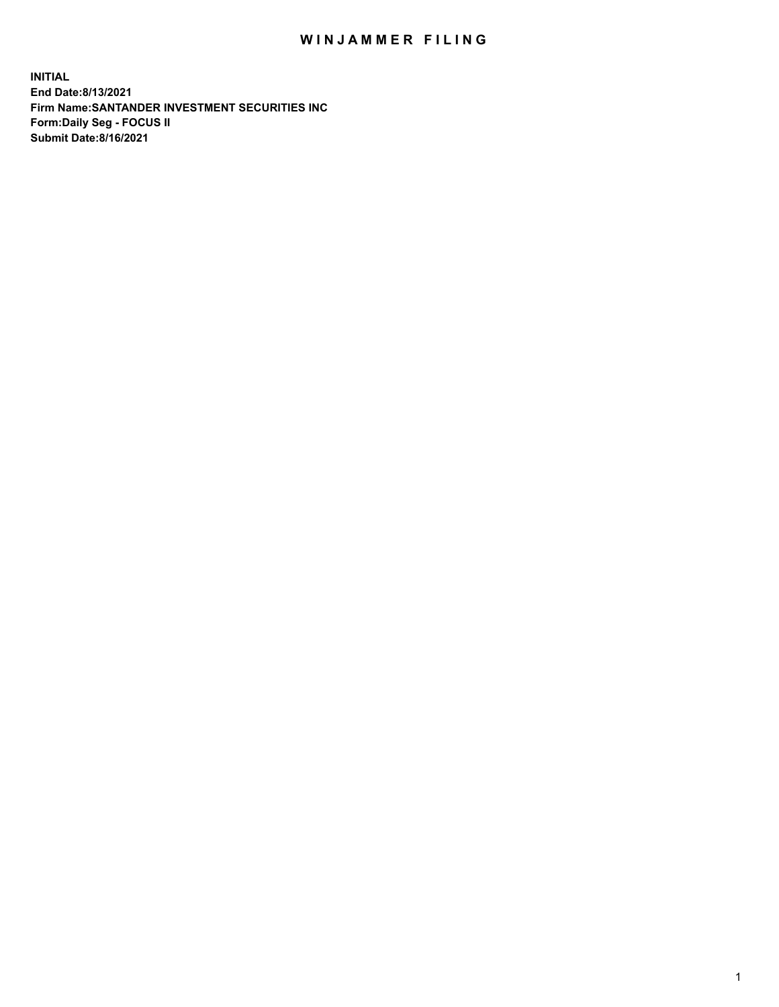## WIN JAMMER FILING

**INITIAL End Date:8/13/2021 Firm Name:SANTANDER INVESTMENT SECURITIES INC Form:Daily Seg - FOCUS II Submit Date:8/16/2021**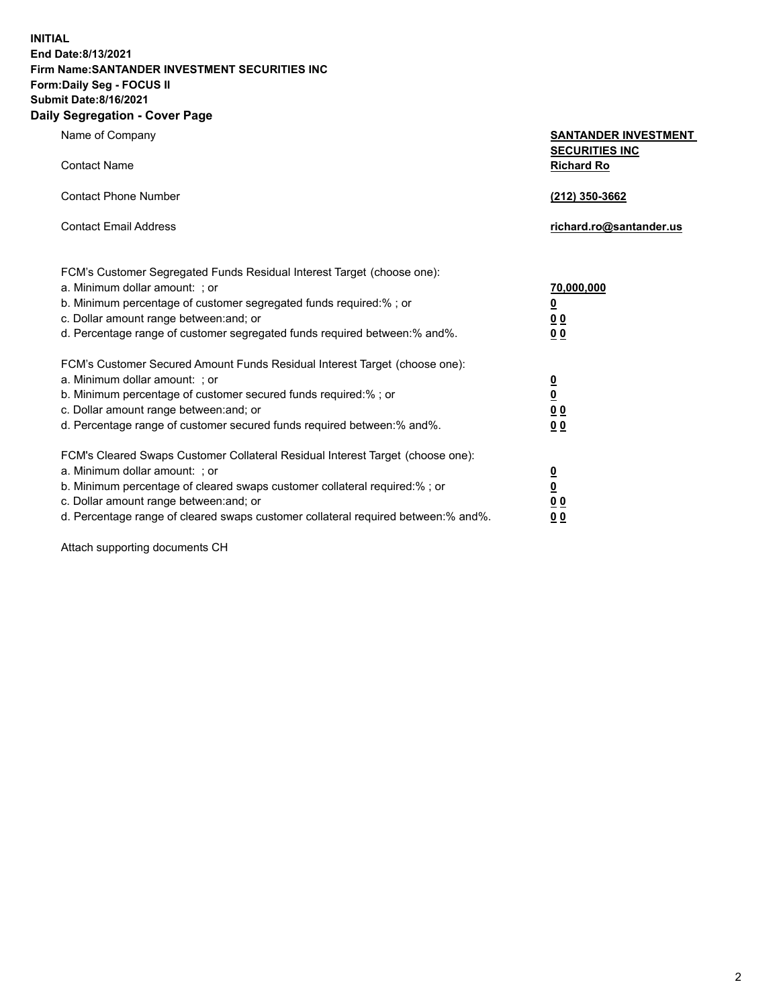**INITIAL End Date:8/13/2021 Firm Name:SANTANDER INVESTMENT SECURITIES INC Form:Daily Seg - FOCUS II Submit Date:8/16/2021 Daily Segregation - Cover Page**

| Name of Company                                                                   | <b>SANTANDER INVESTMENT</b>     |
|-----------------------------------------------------------------------------------|---------------------------------|
|                                                                                   | <b>SECURITIES INC</b>           |
| <b>Contact Name</b>                                                               | <b>Richard Ro</b>               |
| <b>Contact Phone Number</b>                                                       |                                 |
|                                                                                   | (212) 350-3662                  |
| <b>Contact Email Address</b>                                                      | richard.ro@santander.us         |
|                                                                                   |                                 |
| FCM's Customer Segregated Funds Residual Interest Target (choose one):            |                                 |
| a. Minimum dollar amount: ; or                                                    | 70,000,000                      |
| b. Minimum percentage of customer segregated funds required:% ; or                | $\underline{\mathbf{0}}$        |
| c. Dollar amount range between: and; or                                           | 0 <sub>0</sub>                  |
| d. Percentage range of customer segregated funds required between:% and%.         | 0 <sub>0</sub>                  |
|                                                                                   |                                 |
| FCM's Customer Secured Amount Funds Residual Interest Target (choose one):        |                                 |
| a. Minimum dollar amount: ; or                                                    |                                 |
| b. Minimum percentage of customer secured funds required:%; or                    | $\frac{0}{0}$                   |
| c. Dollar amount range between: and; or                                           | $\underline{0}$ $\underline{0}$ |
| d. Percentage range of customer secured funds required between: % and %.          | 0 <sub>0</sub>                  |
| FCM's Cleared Swaps Customer Collateral Residual Interest Target (choose one):    |                                 |
| a. Minimum dollar amount: ; or                                                    |                                 |
| b. Minimum percentage of cleared swaps customer collateral required:% ; or        | $\frac{0}{0}$                   |
| c. Dollar amount range between: and; or                                           | 0 <sub>0</sub>                  |
| d. Percentage range of cleared swaps customer collateral required between:% and%. | <u>00</u>                       |
|                                                                                   |                                 |

Attach supporting documents CH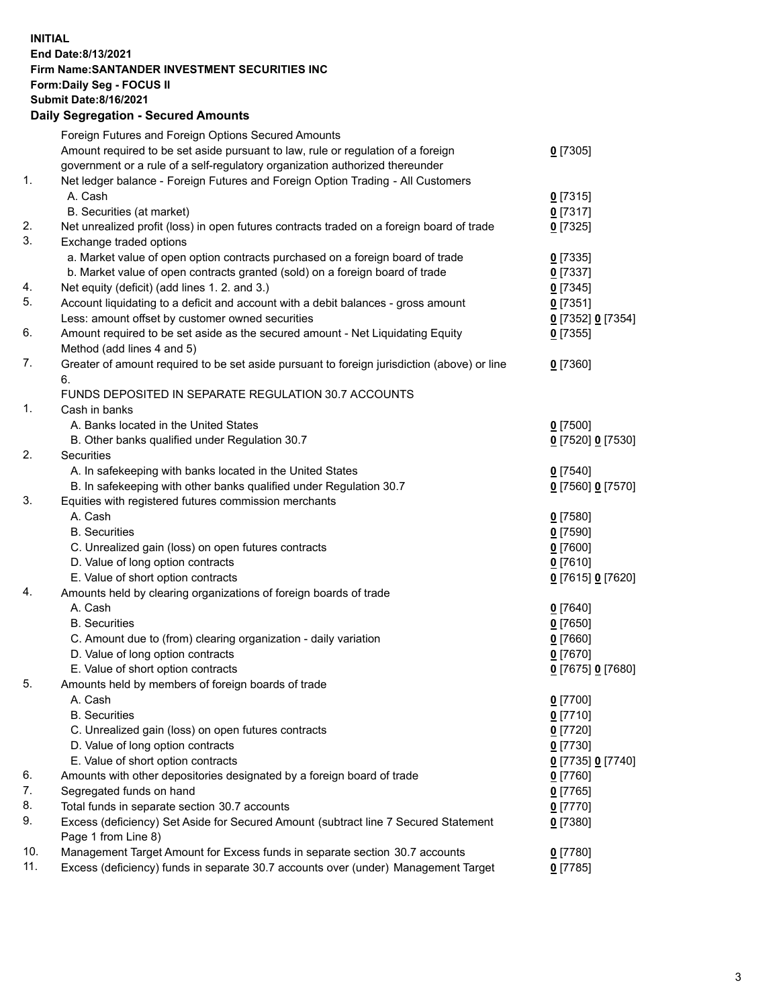**INITIAL End Date:8/13/2021 Firm Name:SANTANDER INVESTMENT SECURITIES INC Form:Daily Seg - FOCUS II Submit Date:8/16/2021 Daily Segregation - Secured Amounts**

|     | Foreign Futures and Foreign Options Secured Amounts                                         |                   |
|-----|---------------------------------------------------------------------------------------------|-------------------|
|     | Amount required to be set aside pursuant to law, rule or regulation of a foreign            | $0$ [7305]        |
|     | government or a rule of a self-regulatory organization authorized thereunder                |                   |
| 1.  | Net ledger balance - Foreign Futures and Foreign Option Trading - All Customers             |                   |
|     | A. Cash                                                                                     | $0$ [7315]        |
|     | B. Securities (at market)                                                                   | $0$ [7317]        |
| 2.  | Net unrealized profit (loss) in open futures contracts traded on a foreign board of trade   | $0$ [7325]        |
| 3.  | Exchange traded options                                                                     |                   |
|     | a. Market value of open option contracts purchased on a foreign board of trade              | $0$ [7335]        |
|     | b. Market value of open contracts granted (sold) on a foreign board of trade                | $0$ [7337]        |
| 4.  | Net equity (deficit) (add lines 1. 2. and 3.)                                               | $0$ [7345]        |
| 5.  | Account liquidating to a deficit and account with a debit balances - gross amount           | $0$ [7351]        |
|     | Less: amount offset by customer owned securities                                            | 0 [7352] 0 [7354] |
| 6.  | Amount required to be set aside as the secured amount - Net Liquidating Equity              | $0$ [7355]        |
|     | Method (add lines 4 and 5)                                                                  |                   |
| 7.  | Greater of amount required to be set aside pursuant to foreign jurisdiction (above) or line | $0$ [7360]        |
|     | 6.                                                                                          |                   |
|     | FUNDS DEPOSITED IN SEPARATE REGULATION 30.7 ACCOUNTS                                        |                   |
| 1.  | Cash in banks                                                                               |                   |
|     | A. Banks located in the United States                                                       | $0$ [7500]        |
|     | B. Other banks qualified under Regulation 30.7                                              | 0 [7520] 0 [7530] |
| 2.  | Securities                                                                                  |                   |
|     | A. In safekeeping with banks located in the United States                                   | $0$ [7540]        |
|     | B. In safekeeping with other banks qualified under Regulation 30.7                          | 0 [7560] 0 [7570] |
| 3.  | Equities with registered futures commission merchants                                       |                   |
|     | A. Cash                                                                                     | $0$ [7580]        |
|     | <b>B.</b> Securities                                                                        | $0$ [7590]        |
|     | C. Unrealized gain (loss) on open futures contracts                                         | $0$ [7600]        |
|     | D. Value of long option contracts                                                           | $0$ [7610]        |
|     | E. Value of short option contracts                                                          | 0 [7615] 0 [7620] |
| 4.  | Amounts held by clearing organizations of foreign boards of trade                           |                   |
|     | A. Cash                                                                                     | $0$ [7640]        |
|     | <b>B.</b> Securities                                                                        | $0$ [7650]        |
|     | C. Amount due to (from) clearing organization - daily variation                             | $0$ [7660]        |
|     | D. Value of long option contracts                                                           | $0$ [7670]        |
|     | E. Value of short option contracts                                                          | 0 [7675] 0 [7680] |
| 5.  | Amounts held by members of foreign boards of trade                                          |                   |
|     | A. Cash                                                                                     | $0$ [7700]        |
|     | <b>B.</b> Securities                                                                        | $0$ [7710]        |
|     | C. Unrealized gain (loss) on open futures contracts                                         | $0$ [7720]        |
|     | D. Value of long option contracts                                                           | $0$ [7730]        |
|     | E. Value of short option contracts                                                          | 0 [7735] 0 [7740] |
| 6.  | Amounts with other depositories designated by a foreign board of trade                      | $0$ [7760]        |
| 7.  | Segregated funds on hand                                                                    | $0$ [7765]        |
| 8.  | Total funds in separate section 30.7 accounts                                               | $0$ [7770]        |
| 9.  | Excess (deficiency) Set Aside for Secured Amount (subtract line 7 Secured Statement         | $0$ [7380]        |
|     | Page 1 from Line 8)                                                                         |                   |
| 10. | Management Target Amount for Excess funds in separate section 30.7 accounts                 | $0$ [7780]        |
| 11. | Excess (deficiency) funds in separate 30.7 accounts over (under) Management Target          | $0$ [7785]        |
|     |                                                                                             |                   |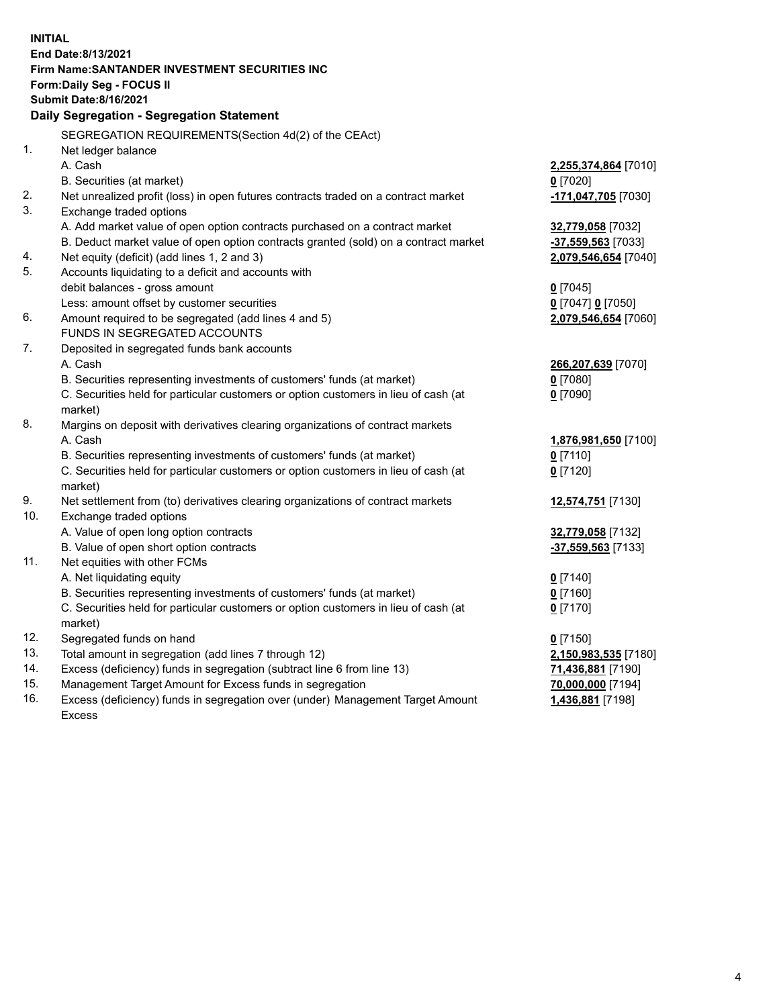| <b>INITIAL</b> |                                                                                                                                                               |                          |
|----------------|---------------------------------------------------------------------------------------------------------------------------------------------------------------|--------------------------|
|                | End Date:8/13/2021                                                                                                                                            |                          |
|                | Firm Name: SANTANDER INVESTMENT SECURITIES INC                                                                                                                |                          |
|                | <b>Form:Daily Seg - FOCUS II</b>                                                                                                                              |                          |
|                | <b>Submit Date:8/16/2021</b>                                                                                                                                  |                          |
|                | Daily Segregation - Segregation Statement                                                                                                                     |                          |
|                | SEGREGATION REQUIREMENTS(Section 4d(2) of the CEAct)                                                                                                          |                          |
| 1.             | Net ledger balance                                                                                                                                            |                          |
|                | A. Cash                                                                                                                                                       | 2,255,374,864 [7010]     |
|                | B. Securities (at market)                                                                                                                                     | $0$ [7020]               |
| 2.             | Net unrealized profit (loss) in open futures contracts traded on a contract market                                                                            | -171,047,705 [7030]      |
| 3.             | Exchange traded options                                                                                                                                       |                          |
|                | A. Add market value of open option contracts purchased on a contract market                                                                                   | 32,779,058 [7032]        |
|                | B. Deduct market value of open option contracts granted (sold) on a contract market                                                                           | -37,559,563 [7033]       |
| 4.             | Net equity (deficit) (add lines 1, 2 and 3)                                                                                                                   | 2,079,546,654 [7040]     |
| 5.             | Accounts liquidating to a deficit and accounts with                                                                                                           |                          |
|                | debit balances - gross amount                                                                                                                                 | $0$ [7045]               |
|                | Less: amount offset by customer securities                                                                                                                    | 0 [7047] 0 [7050]        |
| 6.             | Amount required to be segregated (add lines 4 and 5)                                                                                                          | 2,079,546,654 [7060]     |
|                | FUNDS IN SEGREGATED ACCOUNTS                                                                                                                                  |                          |
| 7.             | Deposited in segregated funds bank accounts                                                                                                                   |                          |
|                | A. Cash                                                                                                                                                       | 266,207,639 [7070]       |
|                | B. Securities representing investments of customers' funds (at market)                                                                                        | $0$ [7080]               |
|                | C. Securities held for particular customers or option customers in lieu of cash (at                                                                           | $0$ [7090]               |
|                | market)                                                                                                                                                       |                          |
| 8.             | Margins on deposit with derivatives clearing organizations of contract markets                                                                                |                          |
|                | A. Cash                                                                                                                                                       | 1,876,981,650 [7100]     |
|                | B. Securities representing investments of customers' funds (at market)                                                                                        | $0$ [7110]               |
|                | C. Securities held for particular customers or option customers in lieu of cash (at                                                                           | $0$ [7120]               |
|                | market)                                                                                                                                                       |                          |
| 9.             | Net settlement from (to) derivatives clearing organizations of contract markets                                                                               | 12,574,751 [7130]        |
| 10.            | Exchange traded options                                                                                                                                       |                          |
|                | A. Value of open long option contracts                                                                                                                        | 32,779,058 [7132]        |
| 11.            | B. Value of open short option contracts<br>Net equities with other FCMs                                                                                       | -37,559,563 [7133]       |
|                | A. Net liquidating equity                                                                                                                                     |                          |
|                |                                                                                                                                                               | $0$ [7140]<br>$0$ [7160] |
|                | B. Securities representing investments of customers' funds (at market)<br>C. Securities held for particular customers or option customers in lieu of cash (at |                          |
|                | market)                                                                                                                                                       | $0$ [7170]               |
| 12.            | Segregated funds on hand                                                                                                                                      | $0$ [7150]               |
| 13.            | Total amount in segregation (add lines 7 through 12)                                                                                                          | 2,150,983,535 [7180]     |
| 14.            | Excess (deficiency) funds in segregation (subtract line 6 from line 13)                                                                                       | 71,436,881 [7190]        |
| 15.            | Management Target Amount for Excess funds in segregation                                                                                                      | 70,000,000 [7194]        |
| 16.            | Excess (deficiency) funds in segregation over (under) Management Target Amount                                                                                | 1,436,881 [7198]         |
|                | Excess                                                                                                                                                        |                          |